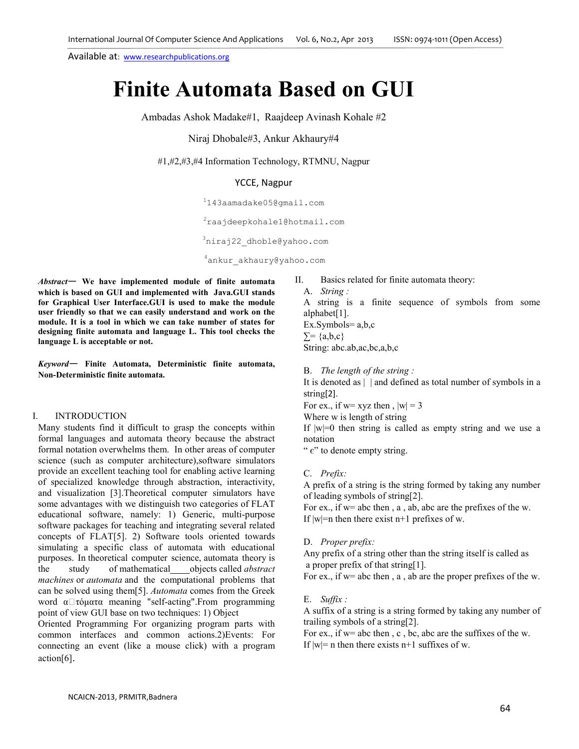Available at: www.researchpublications.org

# **Finite Automata Based on GUI**

Ambadas Ashok Madake#1, Raajdeep Avinash Kohale #2

Niraj Dhobale#3, Ankur Akhaury#4

#1,#2,#3,#4 Information Technology, RTMNU, Nagpur

## YCCE, Nagpur

<sup>1</sup>143aamadake05@gmail.com

<sup>2</sup>raajdeepkohale1@hotmail.com

<sup>3</sup>niraj22\_dhoble@yahoo.com

<sup>4</sup>ankur\_akhaury@yahoo.com

*Abstract*— **We have implemented module of finite automata which is based on GUI and implemented with Java.GUI stands for Graphical User Interface.GUI is used to make the module user friendly so that we can easily understand and work on the module. It is a tool in which we can take number of states for designing finite automata and language L. This tool checks the language L is acceptable or not.** 

*Keyword*— **Finite Automata, Deterministic finite automata, Non-Deterministic finite automata.**

#### I. INTRODUCTION

Many students find it difficult to grasp the concepts within formal languages and automata theory because the abstract formal notation overwhelms them. In other areas of computer science (such as computer architecture),software simulators provide an excellent teaching tool for enabling active learning of specialized knowledge through abstraction, interactivity, and visualization [3].Theoretical computer simulators have some advantages with we distinguish two categories of FLAT educational software, namely: 1) Generic, multi-purpose software packages for teaching and integrating several related concepts of FLAT[5]. 2) Software tools oriented towards simulating a specific class of automata with educational purposes. In theoretical computer science, automata theory is the study of mathematical objects called *abstract machines* or *automata* and the computational problems that can be solved using them[5]. *Automata* comes from the Greek word  $\alpha\Box\tau\phi\mu\alpha\tau\alpha$  meaning "self-acting". From programming point of view GUI base on two techniques: 1) Object

Oriented Programming For organizing program parts with common interfaces and common actions.2)Events: For connecting an event (like a mouse click) with a program action[6].

II. Basics related for finite automata theory:

A. *String :*

A string is a finite sequence of symbols from some alphabet[1]. Ex.Symbols= a,b,c  $\Sigma = \{a,b,c\}$ String: abc.ab,ac,bc,a,b,c

B. *The length of the string :* 

It is denoted as | | and defined as total number of symbols in a string[2].

For ex., if w= xyz then,  $|w| = 3$ 

Where w is length of string

If  $|w|=0$  then string is called as empty string and we use a notation

" $\epsilon$ " to denote empty string.

C. *Prefix:* 

A prefix of a string is the string formed by taking any number of leading symbols of string[2].

For ex., if w= abc then, a, ab, abc are the prefixes of the w. If  $|w|=n$  then there exist n+1 prefixes of w.

D. *Proper prefix:* 

Any prefix of a string other than the string itself is called as a proper prefix of that string[1].

For ex., if w= abc then, a, ab are the proper prefixes of the w.

#### E. *Suffix :*

A suffix of a string is a string formed by taking any number of trailing symbols of a string[2].

For ex., if w= abc then , c , bc, abc are the suffixes of the w. If  $|w|=n$  then there exists n+1 suffixes of w.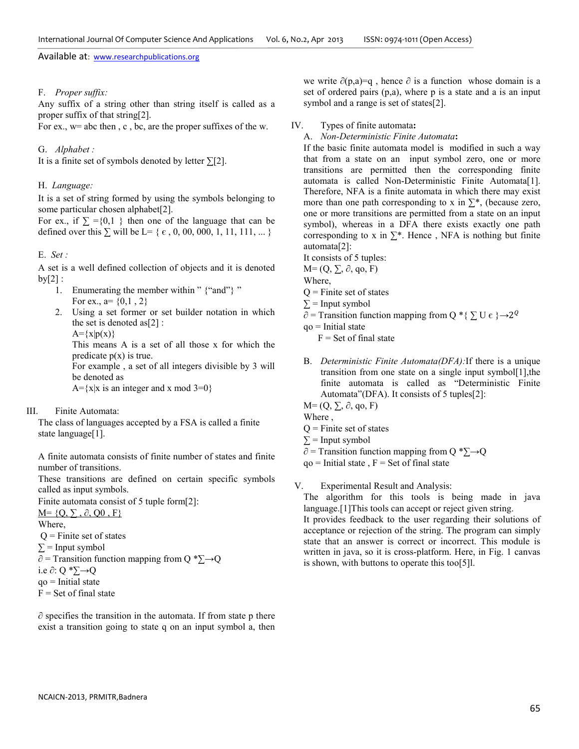Available at: www.researchpublications.org

## F. *Proper suffix:*

Any suffix of a string other than string itself is called as a proper suffix of that string[2].

For ex., w= abc then , c , bc, are the proper suffixes of the w.

#### G. *Alphabet :*

It is a finite set of symbols denoted by letter  $\Sigma$ [2].

#### H. *Language:*

It is a set of string formed by using the symbols belonging to some particular chosen alphabet[2].

For ex., if  $\Sigma = \{0,1\}$  then one of the language that can be defined over this  $\Sigma$  will be L= {  $\epsilon$ , 0, 00, 000, 1, 11, 111, ... }

#### E. *Set :*

A set is a well defined collection of objects and it is denoted  $by[2]$ :

- 1. Enumerating the member within " {"and"} " For ex., a=  $\{0,1, 2\}$
- 2. Using a set former or set builder notation in which the set is denoted as[2] :

 $A=\{x|p(x)\}\$ 

This means A is a set of all those x for which the predicate  $p(x)$  is true.

For example , a set of all integers divisible by 3 will be denoted as

 $A = \{x | x$  is an integer and x mod 3=0}

## III. Finite Automata:

The class of languages accepted by a FSA is called a finite state language[1].

A finite automata consists of finite number of states and finite number of transitions.

These transitions are defined on certain specific symbols called as input symbols.

Finite automata consist of 5 tuple form[2]:

 $M = \{Q, \sum, \partial, Q0, F\}$ 

- Where,
- $Q =$  Finite set of states
- $\Sigma$  = Input symbol

 $\partial$  = Transition function mapping from Q \* $\Sigma \rightarrow Q$ 

- i.e ∂: Q \*∑→Q
- $qo$  = Initial state

```
F = Set of final state
```
 $\partial$  specifies the transition in the automata. If from state p there exist a transition going to state q on an input symbol a, then

we write  $\partial(p,a)=q$ , hence  $\partial$  is a function whose domain is a set of ordered pairs (p,a), where p is a state and a is an input symbol and a range is set of states[2].

## IV. Types of finite automata**:**

A. *Non-Deterministic Finite Automata***:** 

If the basic finite automata model is modified in such a way that from a state on an input symbol zero, one or more transitions are permitted then the corresponding finite automata is called Non-Deterministic Finite Automata[1]. Therefore, NFA is a finite automata in which there may exist more than one path corresponding to x in  $\Sigma^*$ , (because zero, one or more transitions are permitted from a state on an input symbol), whereas in a DFA there exists exactly one path corresponding to x in  $\Sigma^*$ . Hence, NFA is nothing but finite automata[2]:

It consists of 5 tuples:

- $M=(Q, \sum, \partial, qo, F)$
- Where,
- $Q =$  Finite set of states
- $\Sigma$  = Input symbol
- $\partial$  = Transition function mapping from Q \* {  $\sum U \epsilon$  }  $\rightarrow$  2<sup>Q</sup>

 $qo$  = Initial state

- $F =$  Set of final state
- B. *Deterministic Finite Automata(DFA):*If there is a unique transition from one state on a single input symbol[1],the finite automata is called as "Deterministic Finite Automata"(DFA). It consists of 5 tuples[2]:

 $M=(Q, \sum, \partial, qo, F)$ 

- Where ,
- $Q =$  Finite set of states
- $\Sigma$  = Input symbol
- $\partial$  = Transition function mapping from Q \* $\Sigma \rightarrow Q$
- $qo$  = Initial state,  $F = Set of final state$

V. Experimental Result and Analysis:

The algorithm for this tools is being made in java language.[1]This tools can accept or reject given string.

It provides feedback to the user regarding their solutions of acceptance or rejection of the string. The program can simply state that an answer is correct or incorrect. This module is written in java, so it is cross-platform. Here, in Fig. 1 canvas is shown, with buttons to operate this too[5]l.